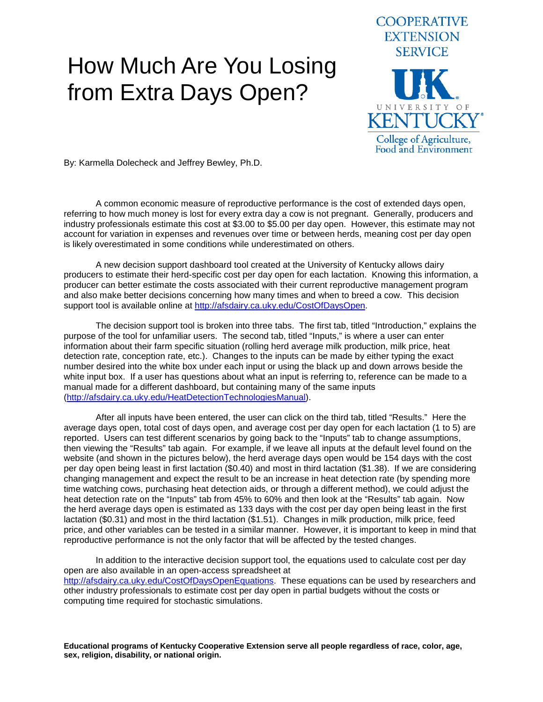## How Much Are You Losing from Extra Days Open?



By: Karmella Dolecheck and Jeffrey Bewley, Ph.D.

A common economic measure of reproductive performance is the cost of extended days open, referring to how much money is lost for every extra day a cow is not pregnant. Generally, producers and industry professionals estimate this cost at \$3.00 to \$5.00 per day open. However, this estimate may not account for variation in expenses and revenues over time or between herds, meaning cost per day open is likely overestimated in some conditions while underestimated on others.

A new decision support dashboard tool created at the University of Kentucky allows dairy producers to estimate their herd-specific cost per day open for each lactation. Knowing this information, a producer can better estimate the costs associated with their current reproductive management program and also make better decisions concerning how many times and when to breed a cow. This decision support tool is available online at [http://afsdairy.ca.uky.edu/CostOfDaysOpen.](http://afsdairy.ca.uky.edu/CostOfDaysOpen)

The decision support tool is broken into three tabs. The first tab, titled "Introduction," explains the purpose of the tool for unfamiliar users. The second tab, titled "Inputs," is where a user can enter information about their farm specific situation (rolling herd average milk production, milk price, heat detection rate, conception rate, etc.). Changes to the inputs can be made by either typing the exact number desired into the white box under each input or using the black up and down arrows beside the white input box. If a user has questions about what an input is referring to, reference can be made to a manual made for a different dashboard, but containing many of the same inputs [\(http://afsdairy.ca.uky.edu/HeatDetectionTechnologiesManual\)](http://afsdairy.ca.uky.edu/HeatDetectionTechnologiesManual).

After all inputs have been entered, the user can click on the third tab, titled "Results." Here the average days open, total cost of days open, and average cost per day open for each lactation (1 to 5) are reported. Users can test different scenarios by going back to the "Inputs" tab to change assumptions, then viewing the "Results" tab again. For example, if we leave all inputs at the default level found on the website (and shown in the pictures below), the herd average days open would be 154 days with the cost per day open being least in first lactation (\$0.40) and most in third lactation (\$1.38). If we are considering changing management and expect the result to be an increase in heat detection rate (by spending more time watching cows, purchasing heat detection aids, or through a different method), we could adjust the heat detection rate on the "Inputs" tab from 45% to 60% and then look at the "Results" tab again. Now the herd average days open is estimated as 133 days with the cost per day open being least in the first lactation (\$0.31) and most in the third lactation (\$1.51). Changes in milk production, milk price, feed price, and other variables can be tested in a similar manner. However, it is important to keep in mind that reproductive performance is not the only factor that will be affected by the tested changes.

In addition to the interactive decision support tool, the equations used to calculate cost per day open are also available in an open-access spreadsheet at [http://afsdairy.ca.uky.edu/CostOfDaysOpenEquations.](http://afsdairy.ca.uky.edu/CostOfDaysOpenEquations) These equations can be used by researchers and other industry professionals to estimate cost per day open in partial budgets without the costs or computing time required for stochastic simulations.

**Educational programs of Kentucky Cooperative Extension serve all people regardless of race, color, age, sex, religion, disability, or national origin.**